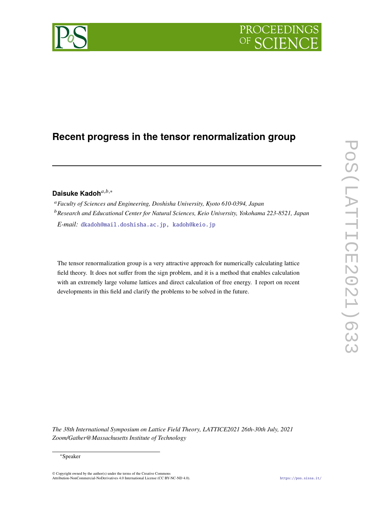

# **Recent progress in the tensor renormalization group**

# Daisuke Kadoh<sup>a,b,∗</sup>

*Faculty of Sciences and Engineering, Doshisha University, Kyoto 610-0394, Japan Research and Educational Center for Natural Sciences, Keio University, Yokohama 223-8521, Japan*

*E-mail:* dkadoh@mail.doshisha.ac.jp, kadoh@keio.jp

The tensor renormalization group is a very attractive approach for numerically calculating lattice field theory. It does not suffer from the sign problem, and it is a method that enables calculation with an extremely large volume lattices and direct calculation of free energy. I report on recent developments in this field and clarify the problems to be solved in the future.

*The 38th International Symposium on Lattice Field Theory, LATTICE2021 26th-30th July, 2021 Zoom/Gather@Massachusetts Institute of Technology*

© Copyright owned by the author(s) under the terms of the Creative Commons Attribution-NonCommercial-NoDerivatives 4.0 International License (CC BY-NC-ND 4.0). https://pos.sissa.it/



<sup>∗</sup>Speaker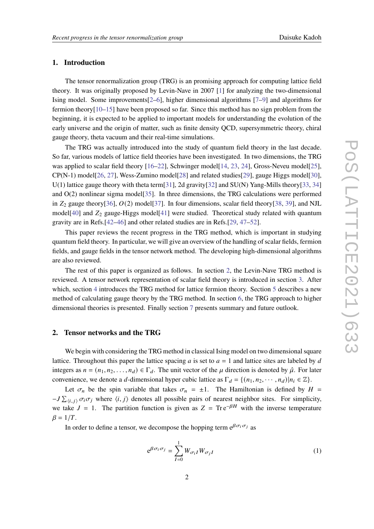# **1. Introduction**

The tensor renormalization group (TRG) is an promising approach for computing lattice field theory. It was originally proposed by Levin-Nave in 2007 [1] for analyzing the two-dimensional Ising model. Some improvements[2–6], higher dimensional algorithms [7–9] and algorithms for fermion theory $[10-15]$  have been proposed so far. Since this method has no sign problem from the beginning, it is expected to be applied to important models for understanding the evolution of the early universe and the origin of matter, such as finite density QCD, supersymmetric theory, chiral gauge theory, theta vacuum and their real-time simulations.

The TRG was actually introduced into the study of quantum field theory in the last decade. So far, various models of lattice field theories have been investigated. In two dimensions, the TRG was applied to scalar field theory [16–22], Schwinger model[14, 23, 24], Gross-Neveu model[25],  $CP(N-1)$  model[26, 27], Wess-Zumino model[28] and related studies[29], gauge Higgs model[30], U(1) lattice gauge theory with theta term[31], 2d gravity[32] and SU(N) Yang-Mills theory[33, 34] and O(2) nonlinear sigma model[35]. In three dimensions, the TRG calculations were performed in  $Z_2$  gauge theory[36],  $O(2)$  model[37]. In four dimensions, scalar field theory[38, 39], and NJL model[40] and  $Z_2$  gauge-Higgs model[41] were studied. Theoretical study related with quantum gravity are in Refs.[42–46] and other related studies are in Refs.[29, 47–52].

This paper reviews the recent progress in the TRG method, which is important in studying quantum field theory. In particular, we will give an overview of the handling of scalar fields, fermion fields, and gauge fields in the tensor network method. The developing high-dimensional algorithms are also reviewed.

The rest of this paper is organized as follows. In section 2, the Levin-Nave TRG method is reviewed. A tensor network representation of scalar field theory is introduced in section 3. After which, section 4 introduces the TRG method for lattice fermion theory. Section 5 describes a new method of calculating gauge theory by the TRG method. In section 6, the TRG approach to higher dimensional theories is presented. Finally section 7 presents summary and future outlook.

## **2. Tensor networks and the TRG**

We begin with considering the TRG method in classical Ising model on two dimensional square lattice. Throughout this paper the lattice spacing  $a$  is set to  $a = 1$  and lattice sites are labeled by  $d$ integers as  $n = (n_1, n_2, \ldots, n_d) \in \Gamma_d$ . The unit vector of the  $\mu$  direction is denoted by  $\hat{\mu}$ . For later convenience, we denote a d-dimensional hyper cubic lattice as  $\Gamma_d = \{(n_1, n_2, \dots, n_d) | n_i \in \mathbb{Z}\}.$ 

Let  $\sigma_n$  be the spin variable that takes  $\sigma_n = \pm 1$ . The Hamiltonian is defined by  $H =$  $-J \sum_{i,j} \sigma_i \sigma_j$  where  $\langle i, j \rangle$  denotes all possible pairs of nearest neighbor sites. For simplicity, we take  $J = 1$ . The partition function is given as  $Z = \text{Tr} e^{-\beta H}$  with the inverse temperature  $\beta = 1/T$ .

In order to define a tensor, we decompose the hopping term  $e^{\beta \sigma_i \sigma_j}$  as

$$
e^{\beta \sigma_i \sigma_j} = \sum_{I=0}^{1} W_{\sigma_i I} W_{\sigma_j I} \tag{1}
$$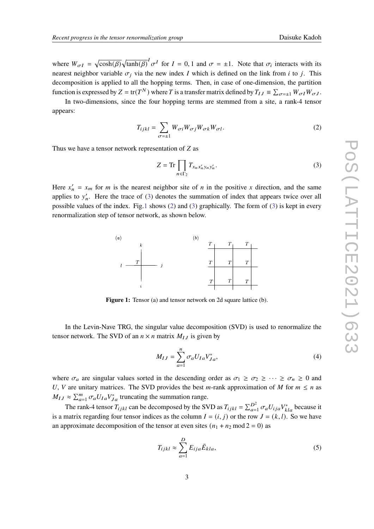where  $W_{\sigma I} = \sqrt{\cosh(\beta)} \sqrt{\tanh(\beta)} I_{\sigma}$  for  $I = 0, 1$  and  $\sigma = \pm 1$ . Note that  $\sigma_i$  interacts with its nearest neighbor variable  $\sigma_i$  via the new index I which is defined on the link from i to j. This decomposition is applied to all the hopping terms. Then, in case of one-dimension, the partition function is expressed by  $Z = \text{tr}(T^N)$  where T is a transfer matrix defined by  $T_{IJ} \equiv \sum_{\sigma=\pm 1} W_{\sigma I} W_{\sigma J}$ .

In two-dimensions, since the four hopping terms are stemmed from a site, a rank-4 tensor appears:

$$
T_{ijkl} = \sum_{\sigma=\pm 1} W_{\sigma i} W_{\sigma j} W_{\sigma k} W_{\sigma l}.
$$
 (2)

Thus we have a tensor network representation of  $Z$  as

$$
Z = \text{Tr} \prod_{n \in \Gamma_2} T_{x_n x'_n y_n y'_n}.
$$
 (3)

Here  $x'_n = x_m$  for *m* is the nearest neighbor site of *n* in the positive *x* direction, and the same applies to  $y'_n$ . Here the trace of (3) denotes the summation of index that appears twice over all possible values of the index. Fig.1 shows  $(2)$  and  $(3)$  graphically. The form of  $(3)$  is kept in every renormalization step of tensor network, as shown below.



**Figure 1:** Tensor (a) and tensor network on 2d square lattice (b).

In the Levin-Nave TRG, the singular value decomposition (SVD) is used to renormalize the tensor network. The SVD of an  $n \times n$  matrix  $M_{IJ}$  is given by

$$
M_{IJ} = \sum_{a=1}^{n} \sigma_a U_{Ia} V_{Ja}^*,
$$
 (4)

where  $\sigma_a$  are singular values sorted in the descending order as  $\sigma_1 \ge \sigma_2 \ge \cdots \ge \sigma_n \ge 0$  and *U*, *V* are unitary matrices. The SVD provides the best *m*-rank approximation of *M* for  $m \le n$  as  $M_{IJ} \approx \sum_{a=1}^{m} \sigma_a U_{Ia} V_{Ja}^*$  truncating the summation range.

The rank-4 tensor  $T_{ijkl}$  can be decomposed by the SVD as  $T_{ijkl} = \sum_{a=1}^{D^2} \sigma_a U_{ija} V_{kla}^*$  because it is a matrix regarding four tensor indices as the column  $I = (i, j)$  or the row  $J = (k, l)$ . So we have an approximate decomposition of the tensor at even sites  $(n_1 + n_2 \text{ mod } 2 = 0)$  as

$$
T_{ijkl} \approx \sum_{a=1}^{D} E_{ija} \bar{E}_{kla},
$$
\n(5)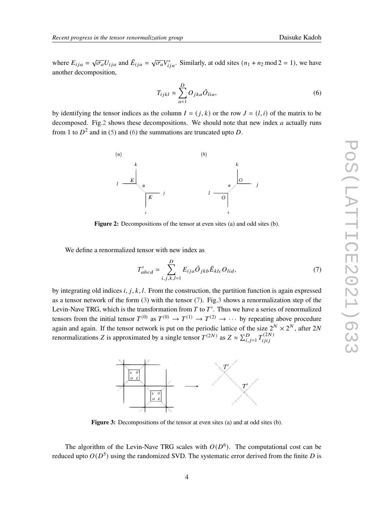where  $E_{ija} = \sqrt{\sigma_a} U_{ija}$  and  $\bar{E}_{ija} = \sqrt{\sigma_a} \sqrt{\sigma_a}$  $\overline{\sigma_a} V_{ija}^*$ . Similarly, at odd sites  $(n_1 + n_2 \mod 2 = 1)$ , we have another decomposition,

$$
T_{ijkl} \approx \sum_{a=1}^{D} O_{jka} \bar{O}_{lia},
$$
\n(6)

by identifying the tensor indices as the column  $I = (i, k)$  or the row  $J = (l, i)$  of the matrix to be decomposed. Fig.2 shows these decompositions. We should note that new index  $a$  actually runs from 1 to  $D^2$  and in (5) and (6) the summations are truncated upto D.



**Figure 2:** Decompositions of the tensor at even sites (a) and odd sites (b).

We define a renormalized tensor with new index as

$$
T'_{abcd} = \sum_{i,j,k,l=1}^{D} E_{ija} \bar{O}_{jkb} \bar{E}_{klc} O_{lid},
$$
\n(7)

by integrating old indices *i, j, k, l.* From the construction, the partition function is again expressed as a tensor network of the form (3) with the tensor (7). Fig.3 shows a renormalization step of the Levin-Nave TRG, which is the transformation from  $T$  to  $T'$ . Thus we have a series of renormalized tensors from the initial tensor  $T^{(0)}$  as  $T^{(0)} \to T^{(1)} \to T^{(2)} \to \cdots$  by repeating above procedure again and again. If the tensor network is put on the periodic lattice of the size  $2^N \times 2^N$ , after 2N renormalizations Z is approximated by a single tensor  $T^{(2N)}$  as  $Z \approx \sum_{i,j=1}^{D} T_{ijij}^{(2N)}$  $i j i j$ 



**Figure 3:** Decompositions of the tensor at even sites (a) and at odd sites (b).

The algorithm of the Levin-Nave TRG scales with  $O(D^6)$ . The computational cost can be reduced upto  $O(D^5)$  using the randomized SVD. The systematic error derived from the finite D is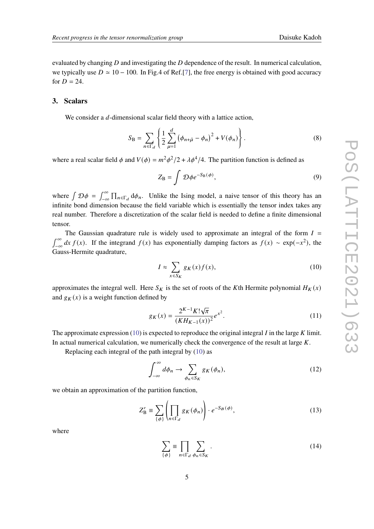evaluated by changing  $D$  and investigating the  $D$  dependence of the result. In numerical calculation, we typically use  $D \approx 10 - 100$ . In Fig.4 of Ref.[7], the free energy is obtained with good accuracy for  $D = 24$ .

#### **3. Scalars**

We consider a  $d$ -dimensional scalar field theory with a lattice action,

$$
S_{\rm B} = \sum_{n \in \Gamma_d} \left\{ \frac{1}{2} \sum_{\mu=1}^d \left( \phi_{n+\hat{\mu}} - \phi_n \right)^2 + V(\phi_n) \right\}.
$$
 (8)

where a real scalar field  $\phi$  and  $V(\phi) = m^2 \phi^2/2 + \lambda \phi^4/4$ . The partition function is defined as

$$
Z_{\rm B} = \int \mathcal{D}\phi e^{-S_{\rm B}(\phi)},\tag{9}
$$

where  $\int \mathcal{D}\phi = \int_{-\infty}^{\infty}$  $\int_{-\infty}^{\infty} \prod_{n \in \Gamma_d} d\phi_n$ . Unlike the Ising model, a naive tensor of this theory has an infinite bond dimension because the field variable which is essentially the tensor index takes any real number. Therefore a discretization of the scalar field is needed to define a finite dimensional tensor.

The Gaussian quadrature rule is widely used to approximate an integral of the form  $I =$  $\int_0^\infty$  $\int_{-\infty}^{\infty} dx f(x)$ . If the integrand  $f(x)$  has exponentially damping factors as  $f(x) \sim \exp(-x^2)$ , the Gauss-Hermite quadrature,

$$
I \approx \sum_{x \in S_K} g_K(x) f(x),\tag{10}
$$

approximates the integral well. Here  $S_K$  is the set of roots of the Kth Hermite polynomial  $H_K(x)$ and  $g_K(x)$  is a weight function defined by

$$
g_K(x) = \frac{2^{K-1} K! \sqrt{\pi}}{(K H_{K-1}(x))^2} e^{x^2}.
$$
 (11)

The approximate expression (10) is expected to reproduce the original integral  $I$  in the large  $K$  limit. In actual numerical calculation, we numerically check the convergence of the result at large  $K$ .

Replacing each integral of the path integral by (10) as

$$
\int_{-\infty}^{\infty} d\phi_n \to \sum_{\phi_n \in S_K} g_K(\phi_n), \tag{12}
$$

we obtain an approximation of the partition function,

$$
Z'_{\mathbf{B}} \equiv \sum_{\{\phi\}} \left( \prod_{n \in \Gamma_d} g_K(\phi_n) \right) \cdot e^{-S_B(\phi)},\tag{13}
$$

where

$$
\sum_{\{\phi\}} \equiv \prod_{n \in \Gamma_d} \sum_{\phi_n \in S_K} . \tag{14}
$$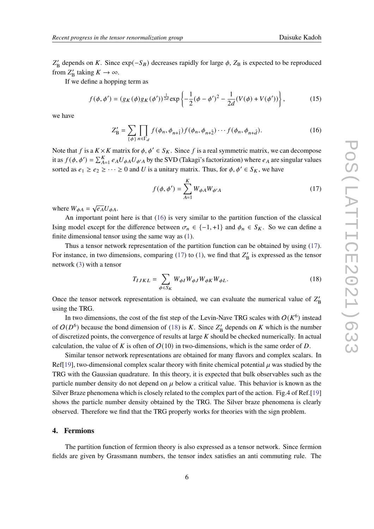$Z'_{\text{B}}$  depends on K. Since exp( $-S_B$ ) decreases rapidly for large  $\phi$ ,  $Z_{\text{B}}$  is expected to be reproduced from  $Z'_{\text{B}}$  taking  $K \to \infty$ .

If we define a hopping term as

$$
f(\phi, \phi') = (g_K(\phi)g_K(\phi'))^{\frac{1}{2d}} \exp\left\{-\frac{1}{2}(\phi - \phi')^2 - \frac{1}{2d}(V(\phi) + V(\phi'))\right\},\tag{15}
$$

we have

$$
Z'_{\mathcal{B}} = \sum_{\{\phi\}} \prod_{n \in \Gamma_d} f(\phi_n, \phi_{n+1}) f(\phi_n, \phi_{n+2}) \cdots f(\phi_n, \phi_{n+2}). \tag{16}
$$

Note that f is a  $K \times K$  matrix for  $\phi, \phi' \in S_K$ . Since f is a real symmetric matrix, we can decompose it as  $f(\phi, \phi') = \sum_{A=1}^{K} e_A U_{\phi A} U_{\phi' A}$  by the SVD (Takagi's factorization) where  $e_A$  are singular values sorted as  $e_1 \ge e_2 \ge \cdots \ge 0$  and U is a unitary matrix. Thus, for  $\phi, \phi' \in S_K$ , we have

$$
f(\phi, \phi') = \sum_{A=1}^{K} W_{\phi A} W_{\phi' A}
$$
 (17)

where  $W_{\phi A} = \sqrt{e_A} U_{\phi A}$ .

An important point here is that (16) is very similar to the partition function of the classical Ising model except for the difference between  $σ_n ∈ \{-1, +1\}$  and  $φ_n ∈ S_K$ . So we can define a finite dimensional tensor using the same way as (1).

Thus a tensor network representation of the partition function can be obtained by using (17). For instance, in two dimensions, comparing  $(17)$  to  $(1)$ , we find that  $Z'_{\text{B}}$  is expressed as the tensor network (3) with a tensor

$$
T_{IJKL} = \sum_{\phi \in S_K} W_{\phi I} W_{\phi J} W_{\phi K} W_{\phi L}.
$$
 (18)

Once the tensor network representation is obtained, we can evaluate the numerical value of  $Z'_{\text{B}}$ using the TRG.

In two dimensions, the cost of the fist step of the Levin-Nave TRG scales with  $O(K^6)$  instead of  $O(D^6)$  because the bond dimension of (18) is K. Since  $Z'_B$  depends on K which is the number of discretized points, the convergence of results at large  $K$  should be checked numerically. In actual calculation, the value of K is often of  $O(10)$  in two-dimensions, which is the same order of D.

Similar tensor network representations are obtained for many flavors and complex scalars. In Ref[19], two-dimensional complex scalar theory with finite chemical potential  $\mu$  was studied by the TRG with the Gaussian quadrature. In this theory, it is expected that bulk observables such as the particle number density do not depend on  $\mu$  below a critical value. This behavior is known as the Silver Braze phenomena which is closely related to the complex part of the action. Fig.4 of Ref.[19] shows the particle number density obtained by the TRG. The Silver braze phenomena is clearly observed. Therefore we find that the TRG properly works for theories with the sign problem.

#### **4. Fermions**

The partition function of fermion theory is also expressed as a tensor network. Since fermion fields are given by Grassmann numbers, the tensor index satisfies an anti commuting rule. The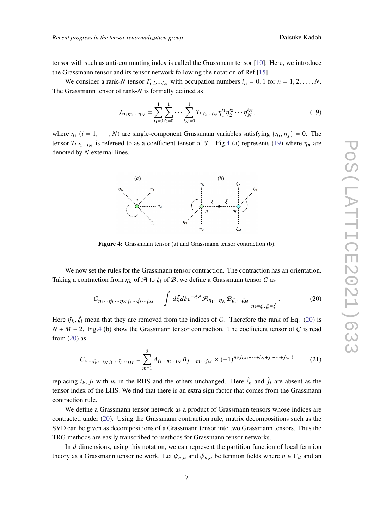tensor with such as anti-commuting index is called the Grassmann tensor [10]. Here, we introduce the Grassmann tensor and its tensor network following the notation of Ref.[15].

We consider a rank-N tensor  $T_{i_1 i_2 \cdots i_N}$  with occupation numbers  $i_n = 0, 1$  for  $n = 1, 2, \ldots, N$ . The Grassmann tensor of rank- $N$  is formally defined as

$$
\mathcal{T}_{\eta_1 \eta_2 \cdots \eta_N} = \sum_{i_1=0}^1 \sum_{i_2=0}^1 \cdots \sum_{i_N=0}^1 T_{i_1 i_2 \cdots i_N} \eta_1^{i_1} \eta_2^{i_2} \cdots \eta_N^{i_N}, \qquad (19)
$$

where  $\eta_i$  ( $i = 1, \dots, N$ ) are single-component Grassmann variables satisfying  $\{\eta_i, \eta_j\} = 0$ . The tensor  $T_{i_1 i_2 \cdots i_N}$  is refereed to as a coefficient tensor of  $\mathcal T$ . Fig.4 (a) represents (19) where  $\eta_n$  are denoted by  $N$  external lines.



**Figure 4:** Grassmann tensor (a) and Grassmann tensor contraction (b).

We now set the rules for the Grassmann tensor contraction. The contraction has an orientation. Taking a contraction from  $\eta_k$  of  $\mathcal A$  to  $\zeta_l$  of  $\mathcal B$ , we define a Grassmann tensor C as

$$
C_{\eta_1 \cdots \eta_K \cdots \eta_N \zeta_1 \cdots \zeta_l \cdots \zeta_M} \equiv \int d\bar{\xi} d\xi e^{-\bar{\xi}\xi} \mathcal{A}_{\eta_1 \cdots \eta_N} \mathcal{B}_{\zeta_1 \cdots \zeta_M} \Big|_{\eta_k = \xi, \zeta_l = \bar{\xi}}.
$$
 (20)

Here  $\check{\eta}_k$ ,  $\check{\zeta}_l$  mean that they are removed from the indices of C. Therefore the rank of Eq. (20) is  $N + M - 2$ . Fig.4 (b) show the Grassmann tensor contraction. The coefficient tensor of C is read from  $(20)$  as

$$
C_{i_1 \cdots i_k \cdots i_N j_1 \cdots j_l \cdots j_M} = \sum_{m=1}^{2} A_{i_1 \cdots m \cdots i_N} B_{j_1 \cdots m \cdots j_M} \times (-1)^{m(i_{k+1} + \cdots + i_N + j_1 + \cdots + j_{l-1})}
$$
(21)

replacing  $i_k$ ,  $j_l$  with m in the RHS and the others unchanged. Here  $i_k$  and  $j_l$  are absent as the tensor index of the LHS. We find that there is an extra sign factor that comes from the Grassmann contraction rule.

We define a Grassmann tensor network as a product of Grassmann tensors whose indices are contracted under (20). Using the Grassmann contraction rule, matrix decompositions such as the SVD can be given as decompositions of a Grassmann tensor into two Grassmann tensors. Thus the TRG methods are easily transcribed to methods for Grassmann tensor networks.

In  $d$  dimensions, using this notation, we can represent the partition function of local fermion theory as a Grassmann tensor network. Let  $\psi_{n,a}$  and  $\bar{\psi}_{n,a}$  be fermion fields where  $n \in \Gamma_d$  and an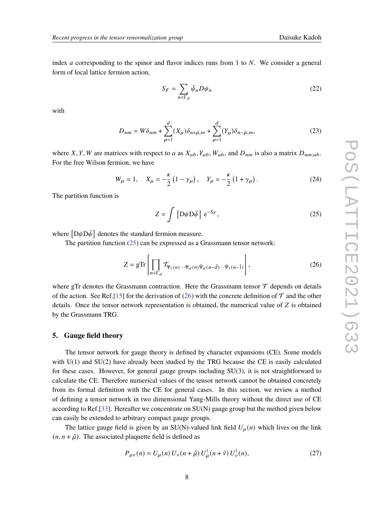index *a* corresponding to the spinor and flavor indices runs from 1 to  $N$ . We consider a general form of local lattice fermion action,

$$
S_F = \sum_{n \in \Gamma_d} \bar{\psi}_n D \psi_n \tag{22}
$$

with

$$
D_{nm} = W\delta_{nm} + \sum_{\mu=1}^{d} (X_{\mu})\delta_{n+\hat{\mu},m} + \sum_{\mu=1}^{d} (Y_{\mu})\delta_{n-\hat{\mu},m},
$$
\n(23)

where X, Y, W are matrices with respect to a as  $X_{ab}$ ,  $Y_{ab}$ ,  $W_{ab}$ , and  $D_{nm}$  is also a matrix  $D_{nm;ab}$ . For the free Wilson fermion, we have

$$
W_{\mu} = 1, \quad X_{\mu} = -\frac{\kappa}{2} \left( 1 - \gamma_{\mu} \right), \quad Y_{\mu} = -\frac{\kappa}{2} \left( 1 + \gamma_{\mu} \right). \tag{24}
$$

The partition function is

$$
Z = \int \left[ D\psi D\bar{\psi} \right] e^{-S_F}, \qquad (25)
$$

where  $[D\psi D\bar{\psi}]$  denotes the standard fermion measure.

The partition function (25) can be expressed as a Grassmann tensor network:

$$
Z = g \text{Tr} \left[ \prod_{n \in \Gamma_d} \mathcal{T}_{\Psi_1(n) \cdots \Psi_d(n)} \bar{\Psi}_d(n - \hat{d}) \cdots \bar{\Psi}_1(n - \hat{1}) \right],
$$
 (26)

where gTr denotes the Grassmann contraction. Here the Grassmann tensor  $\mathcal T$  depends on details of the action. See Ref.[15] for the derivation of (26) with the concrete definition of  $\mathcal T$  and the other details. Once the tensor network representation is obtained, the numerical value of  $Z$  is obtained by the Grassmann TRG.

#### **5. Gauge field theory**

The tensor network for gauge theory is defined by character expansions (CE). Some models with  $U(1)$  and  $SU(2)$  have already been studied by the TRG because the CE is easily calculated for these cases. However, for general gauge groups including SU(3), it is not straightforward to calculate the CE. Therefore numerical values of the tensor network cannot be obtained concretely from its formal definition with the CE for general cases. In this section, we review a method of defining a tensor network in two dimensional Yang-Mills theory without the direct use of CE according to Ref.[33]. Hereafter we concentrate on SU(N) gauge group but the method given below can easily be extended to arbitrary compact gauge groups.

The lattice gauge field is given by an SU(N)-valued link field  $U_u(n)$  which lives on the link  $(n, n + \hat{\mu})$ . The associated plaquette field is defined as

$$
P_{\mu\nu}(n) = U_{\mu}(n) U_{\nu}(n+\hat{\mu}) U_{\mu}^{\dagger}(n+\hat{\nu}) U_{\nu}^{\dagger}(n),
$$
 (27)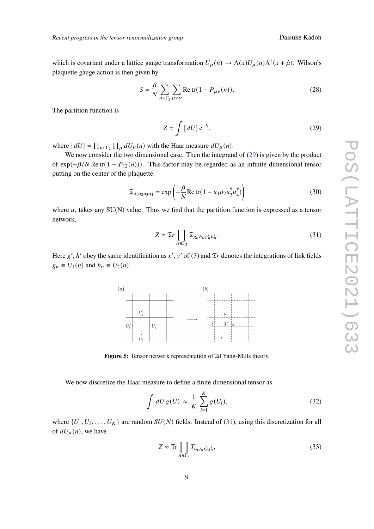which is covariant under a lattice gauge transformation  $U_\mu(n) \to \Lambda(x) U_\mu(n) \Lambda^{\dagger}(x + \hat{\mu})$ . Wilson's plaquette gauge action is then given by

$$
S = \frac{\beta}{N} \sum_{n \in \Gamma_2} \sum_{\mu < \nu} \text{Re tr}(1 - P_{\mu\nu}(n)). \tag{28}
$$

The partition function is

$$
Z = \int [dU] e^{-S}, \qquad (29)
$$

where  $[dU] = \prod_{n \in \Gamma_2} \prod_{\mu} dU_{\mu}(n)$  with the Haar measure  $dU_{\mu}(n)$ .

We now consider the two dimensional case. Then the integrand of  $(29)$  is given by the product of  $\exp(-\beta/N \operatorname{Re} \operatorname{tr}(1 - P_{12}(n)))$ . This factor may be regarded as an infinite dimensional tensor putting on the center of the plaquette:

$$
\mathfrak{T}_{u_1 u_2 u_3 u_4} = \exp\left(-\frac{\beta}{N} \text{Re tr}(1 - u_1 u_2 u_3^\dagger u_4^\dagger)\right) \tag{30}
$$

where  $u_i$  takes any SU(N) value. Thus we find that the partition function is expressed as a tensor network,

$$
Z = \mathfrak{T}r \prod_{n \in \Gamma_2} \mathfrak{T}_{g_n h_n g'_n h'_n}.
$$
 (31)

Here  $g'$ ,  $h'$  obey the same identification as  $x'$ ,  $y'$  of (3) and  $\mathfrak{T}r$  denotes the integrations of link fields  $g_n \equiv U_1(n)$  and  $h_n \equiv U_2(n)$ .



**Figure 5:** Tensor network representation of 2d Yang-Mills theory.

We now discretize the Haar measure to define a finite dimensional tensor as

$$
\int dU g(U) \approx \frac{1}{K} \sum_{i=1}^{K} g(U_i), \qquad (32)
$$

where  $\{U_1, U_2, \ldots, U_K\}$  are random  $SU(N)$  fields. Instead of (31), using this discretization for all of  $dU_u(n)$ , we have

$$
Z \approx \text{Tr} \prod_{n \in \Gamma_2} T_{i_n j_n i'_n j'_n},\tag{33}
$$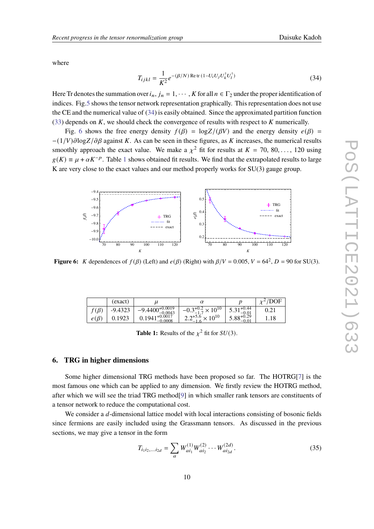where

$$
T_{ijkl} = \frac{1}{K^2} e^{-(\beta/N) \operatorname{Re} \operatorname{tr} (1 - U_i U_j U_k^{\dagger} U_l^{\dagger})}
$$
(34)

Here Tr denotes the summation over  $i_n$ ,  $j_n = 1, \dots, K$  for all  $n \in \Gamma_2$  under the proper identification of indices. Fig.5 shows the tensor network representation graphically. This representation does not use the CE and the numerical value of (34) is easily obtained. Since the approximated partition function (33) depends on  $K$ , we should check the convergence of results with respect to  $K$  numerically.

Fig. 6 shows the free energy density  $f(\beta) = \log Z/(\beta V)$  and the energy density  $e(\beta)$  =  $-(1/V)\partial \log Z/\partial \beta$  against K. As can be seen in these figures, as K increases, the numerical results smoothly approach the exact value. We make a  $\chi^2$  fit for results at  $K = 70, 80, \ldots, 120$  using  $g(K) \equiv \mu + \alpha K^{-p}$ . Table 1 shows obtained fit results. We find that the extrapolated results to large K are very close to the exact values and our method properly works for SU(3) gauge group.



**Figure 6:** K dependences of  $f(\beta)$  (Left) and  $e(\beta)$  (Right) with  $\beta/V = 0.005$ ,  $V = 64^2$ ,  $D = 90$  for SU(3).

|            | (exact)   | $\mu$                                            |                                          |                             |      |
|------------|-----------|--------------------------------------------------|------------------------------------------|-----------------------------|------|
| $(\beta)$  | $-9.4323$ | $-9.4400\frac{+0.0019}{0.0019}$   -<br>$-0.0043$ | $3^{+0.2}_{-1.7}\times10^{10}$<br>$-0.5$ | $1+0.44$<br>3.31<br>$-0.01$ | 0.21 |
| $e(\beta)$ | 0.1923    | $0.1941_{0.0008}^{+0.0017}$<br>$-0.0008$         | $2.2^{+5.6} \times 10^{10}$<br>-         | $3.88^{+0.29}_{-0.6}$       | 1.18 |

**Table 1:** Results of the  $\chi^2$  fit for  $SU(3)$ .

## **6. TRG in higher dimensions**

Some higher dimensional TRG methods have been proposed so far. The HOTRG[7] is the most famous one which can be applied to any dimension. We firstly review the HOTRG method, after which we will see the triad TRG method[9] in which smaller rank tensors are constituents of a tensor network to reduce the computational cost.

We consider a  $d$ -dimensional lattice model with local interactions consisting of bosonic fields since fermions are easily included using the Grassmann tensors. As discussed in the previous sections, we may give a tensor in the form

$$
T_{i_1 i_2,...i_{2d}} = \sum_{a} W_{ai_1}^{(1)} W_{ai_2}^{(2)} \cdots W_{ai_{2d}}^{(2d)}.
$$
 (35)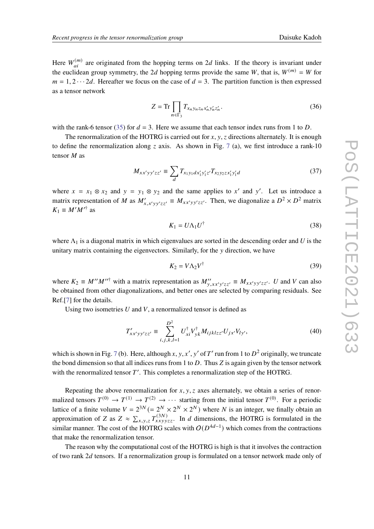Here  $W_{ai}^{(m)}$  are originated from the hopping terms on 2d links. If the theory is invariant under the euclidean group symmetry, the 2d hopping terms provide the same W, that is,  $W^{(m)} = W$  for  $m = 1, 2 \cdots 2d$ . Hereafter we focus on the case of  $d = 3$ . The partition function is then expressed as a tensor network

$$
Z = \text{Tr} \prod_{n \in \Gamma_3} T_{x_n y_n z_n x'_n y'_n z'_n}.
$$
 (36)

with the rank-6 tensor (35) for  $d = 3$ . Here we assume that each tensor index runs from 1 to D.

The renormalization of the HOTRG is carried out for  $x, y, z$  directions alternately. It is enough to define the renormalization along z axis. As shown in Fig. 7 (a), we first introduce a rank-10 tensor  $M$  as

$$
M_{xx'yy'zz'} \equiv \sum_{d} T_{x_1y_1dx'_1y'_1z'} T_{x_2y_2zx'_1y'_1d}
$$
 (37)

where  $x = x_1 \otimes x_2$  and  $y = y_1 \otimes y_2$  and the same applies to x' and y'. Let us introduce a matrix representation of M as  $M'_{x,x'yy'zz'} \equiv M_{xx'yy'zz'}$ . Then, we diagonalize a  $D^2 \times D^2$  matrix  $K_1 \equiv M'M'^{\dagger}$  as

$$
K_1 = U \Lambda_1 U^{\dagger} \tag{38}
$$

where  $\Lambda_1$  is a diagonal matrix in which eigenvalues are sorted in the descending order and U is the unitary matrix containing the eigenvectors. Similarly, for the  $\nu$  direction, we have

$$
K_2 = V \Lambda_2 V^{\dagger} \tag{39}
$$

where  $K_2 \equiv M''M''^{\dagger}$  with a matrix representation as  $M''_{y,xx'y'zz'} \equiv M_{xx'yy'zz'}$ . U and V can also be obtained from other diagonalizations, and better ones are selected by comparing residuals. See Ref.[7] for the details.

Using two isometries  $U$  and  $V$ , a renormalized tensor is defined as

$$
T'_{xx'yy'zz'} \equiv \sum_{i,j,k,l=1}^{D^2} U_{xi}^\dagger V_{yk}^\dagger M_{ijklzz'} U_{jx'} V_{ly'},
$$
 (40)

which is shown in Fig. 7 (b). Here, although *x*, *y*, *x'*, *y'* of *T'* run from 1 to  $D^2$  originally, we truncate the bond dimension so that all indices runs from 1 to D. Thus Z is again given by the tensor network with the renormalized tensor  $T'$ . This completes a renormalization step of the HOTRG.

Repeating the above renormalization for  $x, y, z$  axes alternately, we obtain a series of renormalized tensors  $T^{(0)} \to T^{(1)} \to T^{(2)} \to \cdots$  starting from the initial tensor  $T^{(0)}$ . For a periodic lattice of a finite volume  $V = 2^{3N} (= 2^N \times 2^N \times 2^N)$  where N is an integer, we finally obtain an approximation of Z as  $Z \approx \sum_{x,y,z} T_{xxyyzz}^{(3N)}$ . In d dimensions, the HOTRG is formulated in the similar manner. The cost of the HOTRG scales with  $O(D^{4d-1})$  which comes from the contractions that make the renormalization tensor.

The reason why the computational cost of the HOTRG is high is that it involves the contraction of two rank 2d tensors. If a renormalization group is formulated on a tensor network made only of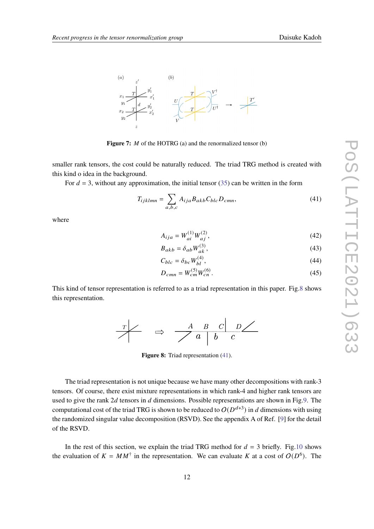

**Figure 7:** *M* of the HOTRG (a) and the renormalized tensor (b)

smaller rank tensors, the cost could be naturally reduced. The triad TRG method is created with this kind o idea in the background.

For  $d = 3$ , without any approximation, the initial tensor (35) can be written in the form

$$
T_{ijklmn} = \sum_{a,b,c} A_{ija} B_{akb} C_{blc} D_{cmn},\tag{41}
$$

where

$$
A_{ija} = W_{ai}^{(1)} W_{aj}^{(2)},
$$
\n(42)

$$
B_{akb} = \delta_{ab} W_{ak}^{(3)},\tag{43}
$$

$$
C_{blc} = \delta_{bc} W_{bl}^{(4)},\tag{44}
$$

$$
D_{cmn} = W_{cm}^{(5)} W_{cn}^{(6)}.
$$
\n(45)

This kind of tensor representation is referred to as a triad representation in this paper. Fig.8 shows this representation.



**Figure 8:** Triad representation (41).

The triad representation is not unique because we have many other decompositions with rank-3 tensors. Of course, there exist mixture representations in which rank-4 and higher rank tensors are used to give the rank  $2d$  tensors in  $d$  dimensions. Possible representations are shown in Fig.9. The computational cost of the triad TRG is shown to be reduced to  $O(D^{d+3})$  in  $d$  dimensions with using the randomized singular value decomposition (RSVD). See the appendix A of Ref. [9] for the detail of the RSVD.

In the rest of this section, we explain the triad TRG method for  $d = 3$  briefly. Fig.10 shows the evaluation of  $K = MM^{\dagger}$  in the representation. We can evaluate K at a cost of  $O(D^6)$ . The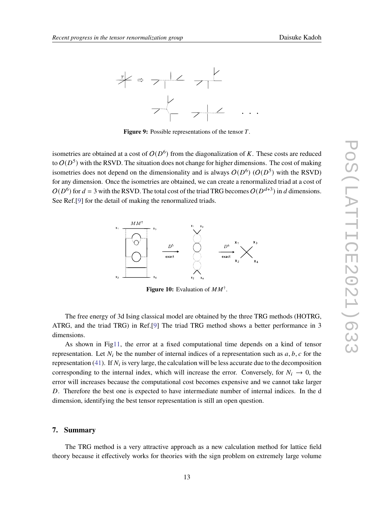

Figure 9: Possible representations of the tensor T.

isometries are obtained at a cost of  $O(D^6)$  from the diagonalization of K. These costs are reduced to  $O(D^5)$  with the RSVD. The situation does not change for higher dimensions. The cost of making isometries does not depend on the dimensionality and is always  $O(D^6)$  ( $O(D^5)$  with the RSVD) for any dimension. Once the isometries are obtained, we can create a renormalized triad at a cost of  $O(D^6)$  for  $d = 3$  with the RSVD. The total cost of the triad TRG becomes  $O(D^{d+3})$  in d dimensions. See Ref.<sup>[9]</sup> for the detail of making the renormalized triads.



**Figure 10:** Evaluation of  $MM^{\dagger}$ .

The free energy of 3d Ising classical model are obtained by the three TRG methods (HOTRG, ATRG, and the triad TRG) in Ref.[9] The triad TRG method shows a better performance in 3 dimensions.

As shown in Fig11, the error at a fixed computational time depends on a kind of tensor representation. Let  $N_i$  be the number of internal indices of a representation such as  $a, b, c$  for the representation (41). If  $N_i$  is very large, the calculation will be less accurate due to the decomposition corresponding to the internal index, which will increase the error. Conversely, for  $N_i \rightarrow 0$ , the error will increases because the computational cost becomes expensive and we cannot take larger . Therefore the best one is expected to have intermediate number of internal indices. In the d dimension, identifying the best tensor representation is still an open question.

#### **7. Summary**

The TRG method is a very attractive approach as a new calculation method for lattice field theory because it effectively works for theories with the sign problem on extremely large volume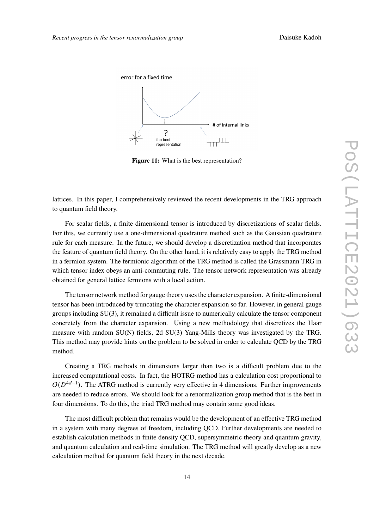![](_page_13_Figure_2.jpeg)

![](_page_13_Figure_3.jpeg)

**Figure 11:** What is the best representation?

lattices. In this paper, I comprehensively reviewed the recent developments in the TRG approach to quantum field theory.

For scalar fields, a finite dimensional tensor is introduced by discretizations of scalar fields. For this, we currently use a one-dimensional quadrature method such as the Gaussian quadrature rule for each measure. In the future, we should develop a discretization method that incorporates the feature of quantum field theory. On the other hand, it is relatively easy to apply the TRG method in a fermion system. The fermionic algorithm of the TRG method is called the Grassmann TRG in which tensor index obeys an anti-commuting rule. The tensor network representation was already obtained for general lattice fermions with a local action.

The tensor network method for gauge theory uses the character expansion. A finite-dimensional tensor has been introduced by truncating the character expansion so far. However, in general gauge groups including SU(3), it remained a difficult issue to numerically calculate the tensor component concretely from the character expansion. Using a new methodology that discretizes the Haar measure with random SU(N) fields, 2d SU(3) Yang-Mills theory was investigated by the TRG. This method may provide hints on the problem to be solved in order to calculate QCD by the TRG method.

Creating a TRG methods in dimensions larger than two is a difficult problem due to the increased computational costs. In fact, the HOTRG method has a calculation cost proportional to  $O(D^{4d-1})$ . The ATRG method is currently very effective in 4 dimensions. Further improvements are needed to reduce errors. We should look for a renormalization group method that is the best in four dimensions. To do this, the triad TRG method may contain some good ideas.

The most difficult problem that remains would be the development of an effective TRG method in a system with many degrees of freedom, including QCD. Further developments are needed to establish calculation methods in finite density QCD, supersymmetric theory and quantum gravity, and quantum calculation and real-time simulation. The TRG method will greatly develop as a new calculation method for quantum field theory in the next decade.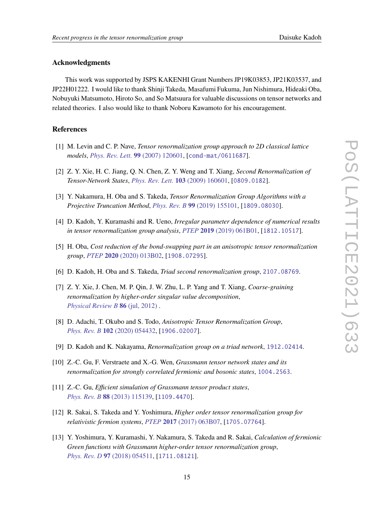#### **Acknowledgments**

This work was supported by JSPS KAKENHI Grant Numbers JP19K03853, JP21K03537, and JP22H01222. I would like to thank Shinji Takeda, Masafumi Fukuma, Jun Nishimura, Hideaki Oba, Nobuyuki Matsumoto, Hiroto So, and So Matsuura for valuable discussions on tensor networks and related theories. I also would like to thank Noboru Kawamoto for his encouragement.

## **References**

- [1] M. Levin and C. P. Nave, *Tensor renormalization group approach to 2D classical lattice models*, *Phys. Rev. Lett.* **99** (2007) 120601, [cond-mat/0611687].
- [2] Z. Y. Xie, H. C. Jiang, Q. N. Chen, Z. Y. Weng and T. Xiang, *Second Renormalization of Tensor-Network States*, *Phys. Rev. Lett.* **103** (2009) 160601, [0809.0182].
- [3] Y. Nakamura, H. Oba and S. Takeda, *Tensor Renormalization Group Algorithms with a Projective Truncation Method*, *Phys. Rev. B* **99** (2019) 155101, [1809.08030].
- [4] D. Kadoh, Y. Kuramashi and R. Ueno, *Irregular parameter dependence of numerical results in tensor renormalization group analysis*, *PTEP* **2019** (2019) 061B01, [1812.10517].
- [5] H. Oba, *Cost reduction of the bond-swapping part in an anisotropic tensor renormalization group*, *PTEP* **2020** (2020) 013B02, [1908.07295].
- [6] D. Kadoh, H. Oba and S. Takeda, *Triad second renormalization group*, 2107.08769.
- [7] Z. Y. Xie, J. Chen, M. P. Qin, J. W. Zhu, L. P. Yang and T. Xiang, *Coarse-graining renormalization by higher-order singular value decomposition*, *Physical Review B* **86** (jul, 2012) .
- [8] D. Adachi, T. Okubo and S. Todo, *Anisotropic Tensor Renormalization Group*, *Phys. Rev. B* **102** (2020) 054432, [1906.02007].
- [9] D. Kadoh and K. Nakayama, *Renormalization group on a triad network*, 1912.02414.
- [10] Z.-C. Gu, F. Verstraete and X.-G. Wen, *Grassmann tensor network states and its renormalization for strongly correlated fermionic and bosonic states*, 1004.2563.
- [11] Z.-C. Gu, *Efficient simulation of Grassmann tensor product states*, *Phys. Rev. B* **88** (2013) 115139, [1109.4470].
- [12] R. Sakai, S. Takeda and Y. Yoshimura, *Higher order tensor renormalization group for relativistic fermion systems*, *PTEP* **2017** (2017) 063B07, [1705.07764].
- [13] Y. Yoshimura, Y. Kuramashi, Y. Nakamura, S. Takeda and R. Sakai, *Calculation of fermionic Green functions with Grassmann higher-order tensor renormalization group*, *Phys. Rev. D* **97** (2018) 054511, [1711.08121].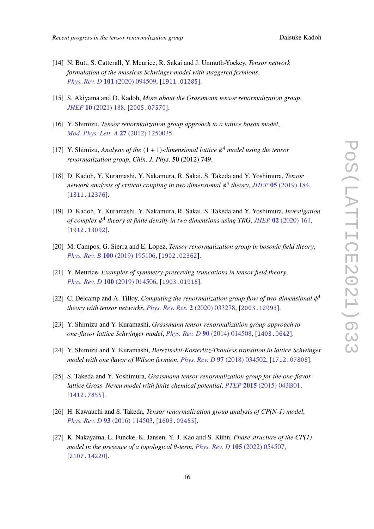- [14] N. Butt, S. Catterall, Y. Meurice, R. Sakai and J. Unmuth-Yockey, *Tensor network formulation of the massless Schwinger model with staggered fermions*, *Phys. Rev. D* **101** (2020) 094509, [1911.01285].
- [15] S. Akiyama and D. Kadoh, *More about the Grassmann tensor renormalization group*, *JHEP* **10** (2021) 188, [2005.07570].
- [16] Y. Shimizu, *Tensor renormalization group approach to a lattice boson model*, *Mod. Phys. Lett. A* **27** (2012) 1250035.
- [17] Y. Shimizu, *Analysis of the* (1 + 1)*-dimensional lattice* <sup>4</sup> *model using the tensor renormalization group*, *Chin. J. Phys.* **50** (2012) 749.
- [18] D. Kadoh, Y. Kuramashi, Y. Nakamura, R. Sakai, S. Takeda and Y. Yoshimura, *Tensor network analysis of critical coupling in two dimensional* 4 *theory*, *JHEP* **05** (2019) 184, [1811.12376].
- [19] D. Kadoh, Y. Kuramashi, Y. Nakamura, R. Sakai, S. Takeda and Y. Yoshimura, *Investigation of complex* 4 *theory at finite density in two dimensions using TRG*, *JHEP* **02** (2020) 161, [1912.13092].
- [20] M. Campos, G. Sierra and E. Lopez, *Tensor renormalization group in bosonic field theory*, *Phys. Rev. B* **100** (2019) 195106, [1902.02362].
- [21] Y. Meurice, *Examples of symmetry-preserving truncations in tensor field theory*, *Phys. Rev. D* **100** (2019) 014506, [1903.01918].
- [22] C. Delcamp and A. Tilloy, *Computing the renormalization group flow of two-dimensional*  $\phi^4$ *theory with tensor networks*, *Phys. Rev. Res.* **2** (2020) 033278, [2003.12993].
- [23] Y. Shimizu and Y. Kuramashi, *Grassmann tensor renormalization group approach to one-flavor lattice Schwinger model*, *Phys. Rev. D* **90** (2014) 014508, [1403.0642].
- [24] Y. Shimizu and Y. Kuramashi, *Berezinskii-Kosterlitz-Thouless transition in lattice Schwinger model with one flavor of Wilson fermion*, *Phys. Rev. D* **97** (2018) 034502, [1712.07808].
- [25] S. Takeda and Y. Yoshimura, *Grassmann tensor renormalization group for the one-flavor lattice Gross–Neveu model with finite chemical potential*, *PTEP* **2015** (2015) 043B01, [1412.7855].
- [26] H. Kawauchi and S. Takeda, *Tensor renormalization group analysis of CP(N-1) model*, *Phys. Rev. D* **93** (2016) 114503, [1603.09455].
- [27] K. Nakayama, L. Funcke, K. Jansen, Y.-J. Kao and S. Kühn, *Phase structure of the CP(1) model in the presence of a topological*  $\theta$ -term, *Phys. Rev. D* 105 (2022) 054507, [2107.14220].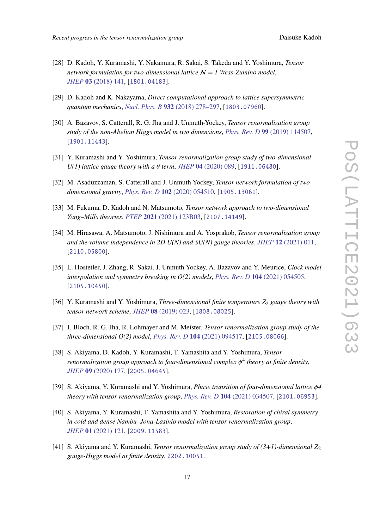- [28] D. Kadoh, Y. Kuramashi, Y. Nakamura, R. Sakai, S. Takeda and Y. Yoshimura, *Tensor network formulation for two-dimensional lattice* N *= 1 Wess-Zumino model*, *JHEP* **03** (2018) 141, [1801.04183].
- [29] D. Kadoh and K. Nakayama, *Direct computational approach to lattice supersymmetric quantum mechanics*, *Nucl. Phys. B* **932** (2018) 278–297, [1803.07960].
- [30] A. Bazavov, S. Catterall, R. G. Jha and J. Unmuth-Yockey, *Tensor renormalization group study of the non-Abelian Higgs model in two dimensions*, *Phys. Rev. D* **99** (2019) 114507, [1901.11443].
- [31] Y. Kuramashi and Y. Yoshimura, *Tensor renormalization group study of two-dimensional*  $U(1)$  lattice gauge theory with a  $\theta$  term, *JHEP* 04 (2020) 089, [1911.06480].
- [32] M. Asaduzzaman, S. Catterall and J. Unmuth-Yockey, *Tensor network formulation of two dimensional gravity*, *Phys. Rev. D* **102** (2020) 054510, [1905.13061].
- [33] M. Fukuma, D. Kadoh and N. Matsumoto, *Tensor network approach to two-dimensional Yang–Mills theories*, *PTEP* **2021** (2021) 123B03, [2107.14149].
- [34] M. Hirasawa, A. Matsumoto, J. Nishimura and A. Yosprakob, *Tensor renormalization group and the volume independence in 2D U(N) and SU(N) gauge theories*, *JHEP* **12** (2021) 011, [2110.05800].
- [35] L. Hostetler, J. Zhang, R. Sakai, J. Unmuth-Yockey, A. Bazavov and Y. Meurice, *Clock model interpolation and symmetry breaking in O(2) models*, *Phys. Rev. D* **104** (2021) 054505, [2105.10450].
- [36] Y. Kuramashi and Y. Yoshimura, *Three-dimensional finite temperature Z*<sup>2</sup> *gauge theory with tensor network scheme*, *JHEP* **08** (2019) 023, [1808.08025].
- [37] J. Bloch, R. G. Jha, R. Lohmayer and M. Meister, *Tensor renormalization group study of the three-dimensional O(2) model*, *Phys. Rev. D* **104** (2021) 094517, [2105.08066].
- [38] S. Akiyama, D. Kadoh, Y. Kuramashi, T. Yamashita and Y. Yoshimura, *Tensor renormalization group approach to four-dimensional complex* 4 *theory at finite density*, *JHEP* **09** (2020) 177, [2005.04645].
- [39] S. Akiyama, Y. Kuramashi and Y. Yoshimura, *Phase transition of four-dimensional lattice 4 theory with tensor renormalization group*, *Phys. Rev. D* **104** (2021) 034507, [2101.06953].
- [40] S. Akiyama, Y. Kuramashi, T. Yamashita and Y. Yoshimura, *Restoration of chiral symmetry in cold and dense Nambu–Jona-Lasinio model with tensor renormalization group*, *JHEP* **01** (2021) 121, [2009.11583].
- [41] S. Akiyama and Y. Kuramashi, *Tensor renormalization group study of (3+1)-dimensional* <sup>2</sup> *gauge-Higgs model at finite density*, 2202.10051.